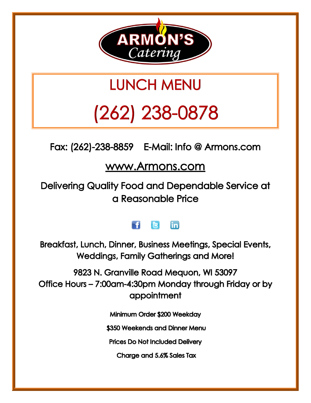

# **LUNCH MENU**

# $(262)$  238-0878

Fax: (262)-238-8859 E-Mail: Info @ Armons.com

## www.Armons.com

Delivering Quality Food and Dependable Service at a Reasonable Price

#### in m R

Breakfast, Lunch, Dinner, Business Meetings, Special Events, **Weddings, Family Gatherings and More!** 

9823 N. Granville Road Mequon, WI 53097 Office Hours - 7:00am-4:30pm Monday through Friday or by appointment

Minimum Order \$200 Weekday

\$350 Weekends and Dinner Menu

**Prices Do Not Included Delivery** 

Charge and 5.6% Sales Tax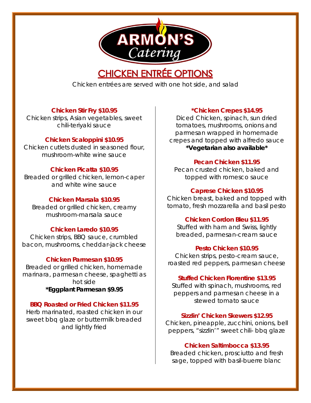

## **CHICKEN ENTRÉE OPTIONS**

Chicken entrées are served with one hot side, and salad

#### **Chicken Stir Fry \$10.95**

Chicken strips, Asian vegetables, sweet chili-teriyaki sauce

#### **Chicken Scaloppini \$10.95**

Chicken cutlets dusted in seasoned flour, mushroom-white wine sauce

#### **Chicken Picatta \$10.95**

Breaded or grilled chicken, lemon-caper and white wine sauce

#### **Chicken Marsala \$10.95**

Breaded or grilled chicken, creamy mushroom-marsala sauce

#### **Chicken Laredo \$10.95**

Chicken strips, BBQ sauce, crumbled bacon, mushrooms, cheddar-jack cheese

#### **Chicken Parmesan \$10.95**

Breaded or grilled chicken, homemade marinara, parmesan cheese, spaghetti as hot side **\*Eggplant Parmesan \$9.95**

#### **BBQ Roasted or Fried Chicken \$11.95**

Herb marinated, roasted chicken in our sweet bbq glaze or buttermilk breaded and lightly fried

#### **\*Chicken Crepes \$14.95**

Diced Chicken, spinach, sun dried tomatoes, mushrooms, onions and parmesan wrapped in homemade crepes and topped with alfredo sauce **\*Vegetarian also available\***

#### **Pecan Chicken \$11.95**

Pecan crusted chicken, baked and topped with romesco sauce

#### **Caprese Chicken \$10.95**

Chicken breast, baked and topped with tomato, fresh mozzarella and basil pesto

#### **Chicken Cordon Bleu \$11.95**

Stuffed with ham and Swiss, lightly breaded, parmesan-cream sauce

#### **Pesto Chicken \$10.95**

Chicken strips, pesto-cream sauce, roasted red peppers, parmesan cheese

#### **Stuffed Chicken Florentine \$13.95**

Stuffed with spinach, mushrooms, red peppers and parmesan cheese in a stewed tomato sauce

#### **Sizzlin' Chicken Skewers \$12.95**

Chicken, pineapple, zucchini, onions, bell peppers, "sizzlin'" sweet chili- bbq glaze

#### **Chicken Saltimbocca \$13.95**

Breaded chicken, prosciutto and fresh sage, topped with basil-buerre blanc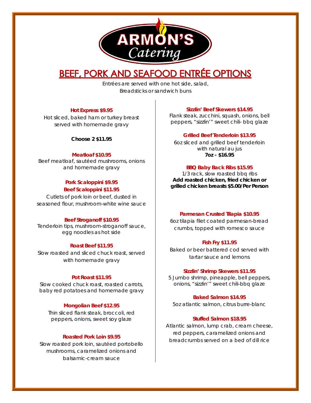

## BEEF, PORK AND SEAFOOD ENTRÉE OPTIONS

Entrées are served with one hot side, salad, Breadsticks or sandwich buns

#### **Hot Express \$9.95**

Hot sliced, baked ham or turkey breast served with homemade gravy

**Choose 2 \$11.95**

#### **Meatloaf \$10.95**

Beef meatloaf, sautéed mushrooms, onions and homemade gravy

#### **Pork Scaloppini \$9.95 Beef Scaloppini \$11.95**

Cutlets of pork loin or beef, dusted in seasoned flour, mushroom-white wine sauce

#### **Beef Stroganoff \$10.95**

Tenderloin tips, mushroom-stroganoff sauce, egg noodles as hot side

#### **Roast Beef \$11.95**

Slow roasted and sliced chuck roast, served with homemade gravy

#### **Pot Roast \$11.95**

Slow cooked chuck roast, roasted carrots, baby red potatoes and homemade gravy

#### **Mongolian Beef \$12.95**

Thin sliced flank steak, broccoli, red peppers, onions, sweet soy glaze

#### **Roasted Pork Loin \$9.95**

Slow roasted pork loin, sautéed portobello mushrooms, caramelized onions and balsamic-cream sauce

#### **Sizzlin' Beef Skewers \$14.95**

Flank steak, zucchini, squash, onions, bell peppers, "sizzlin'" sweet chili- bbq glaze

#### **Grilled Beef Tenderloin \$13.95**

6oz sliced and grilled beef tenderloin with natural au jus **7oz - \$16.95**

#### **BBQ Baby Back Ribs \$15.95**

1/3 rack, slow roasted bbq ribs **Add roasted chicken, fried chicken or grilled chicken breasts \$5.00/Per Person**

#### **Parmesan Crusted Tilapia \$10.95**

6oz tilapia filet coated parmesan-bread crumbs, topped with romesco sauce

#### **Fish Fry \$11.95**

Baked or beer battered cod served with tartar sauce and lemons

#### **Sizzlin' Shrimp Skewers \$11.95**

5 Jumbo shrimp, pineapple, bell peppers, onions, "sizzlin'" sweet chili-bbq glaze

#### **Baked Salmon \$14.95**

5oz atlantic salmon, citrus burre-blanc

#### **Stuffed Salmon \$18.95**

Atlantic salmon, lump crab, cream cheese, red peppers, caramelized onions and breadcrumbs served on a bed of dill rice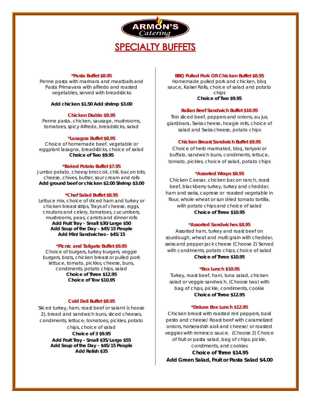

#### **\*Pasta Buffet \$8.95**

Penne pasta with marinara and meatballs and Pasta Primavara with alfredo and roasted vegetables, served with breadsticks

#### **Add chicken \$1.50 Add shrimp \$3.00**

#### **Chicken Diablo \$8.95**

Penne pasta, chicken, sausage, mushrooms, tomatoes, spicy Alfredo, breadsticks, salad

#### **\*Lasagna Buffet \$8.95**

Choice of homemade beef, vegetable or eggplant lasagna, breadsticks, choice of salad **Choice of Two \$9.95**

#### **\*Baked Potato Buffet \$7.95**

Jumbo potato, cheesy broccoli, chili, bacon bits, cheese, chives, butter, sour cream and rolls **Add ground beef or chicken \$2.00 Shrimp \$3.00**

#### **\*Chef Salad Buffet \$8.95**

Lettuce mix, choice of diced ham and turkey or chicken breast strips, Trays of cheese, eggs, croutons and celery, tomatoes, cucumbers, mushrooms, peas, carrots and dinner rolls **Add Fruit Tray - Small \$30/Large \$50 Add Soup of the Day - \$45/15 People Add Mini Sandwiches - \$45/15** 

#### **\*Picnic and Tailgate Buffet \$9.95**

Choice of burgers, turkey burgers, veggie burgers, brats, chicken breast or pulled pork lettuce, tomato, pickles, cheese, buns, condiments, potato chips, salad **Choice of Three \$12.95 Choice of Tow \$10.95**

#### **Cold Deli Buffet \$8.95**

Sliced turkey, ham, roast beef or salami (choose 2), bread and sandwich buns, sliced cheeses, condiments, lettuce, tomatoes, pickles, potato

> chips, choice of salad **Choice of 3 \$9.95 Add Fruit Tray - Small \$35/Large \$55 Add Soup of the Day - \$45/15 People Add Relish \$35**

#### **BBQ Pulled Pork OR Chicken Buffet \$8.95**

Homemade pulled pork and chicken, bbq sauce, Kaiser Rolls, choice of salad and potato chips **Choice of Two \$9.95**

#### **Italian Beef Sandwich Buffet \$10.95**

Thin sliced beef, peppers and onions, au jus, giardinara, Swiss cheese, hoagie rolls, choice of salad and Swiss cheese, potato chips

#### **Chicken Breast Sandwich Buffet \$9.95**

Choice of herb marinated, bbq, teriyaki or buffalo, sandwich buns, condiments, lettuce, tomato, pickles, choice of salad, potato chips

#### **\*Assorted Wraps \$8.95**

Chicken Caesar, chicken bacon ranch, roast beef, blackberry turkey, turkey and cheddar, ham and swiss, caprese or roasted vegetable in flour, whole wheat or sun dried tomato tortilla, with potato chips and choice of salad **Choice of Three \$10.95**

#### **\*Assorted Sandwiches \$8.95**

Assorted ham, turkey and roast beef on sourdough, wheat and multi grain with cheddar, swiss and pepper jack cheese (Choose 2) Served with condiments, potato chips, choice of salad **Choice of Three \$10.95**

#### **\*Box Lunch \$10.95**

Turkey, roast beef, ham, tuna salad, chicken salad or veggie sandwich, (Choose two) with bag of chips, pickle, condiments, cookie **Choice of Three \$12.95**

#### **\*Deluxe Box Lunch \$12.95**

Chicken breast with roasted red peppers, basil pesto and cheese/ Roast beef with caramelized onions, horseradish aioli and cheese/ or roasted veggies with romesco sauce. (Choose 2) Choice of fruit or pasta salad, bag of chips, pickle, condiments, and cookies **Choice of Three \$14.95 Add Green Salad, Fruit or Pasta Salad \$4.00**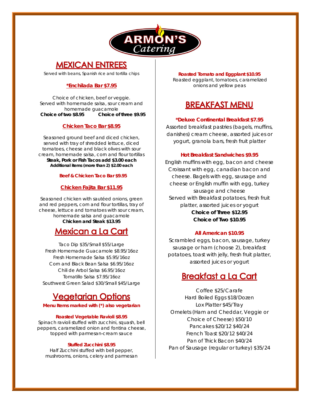

### **MEXICAN ENTREES**

Served with beans, Spanish rice and tortilla chips

#### **\*Enchilada Bar \$7.95**

Choice of chicken, beef or veggie. Served with homemade salsa, sour cream and homemade guacamole  **Choice of two \$8.95 Choice of three \$9.95**

#### **Chicken Taco Bar \$8.95**

Seasoned ground beef and diced chicken, served with tray of shredded lettuce, diced tomatoes, cheese and black olives with sour cream, homemade salsa, corn and flour tortillas **Steak, Pork or Fish Tacos add \$3.00 each Additional items (more than 2) \$2.00 each**

#### **Beef & Chicken Taco Bar \$9.95**

#### **Chicken Fajita Bar \$11.95**

Seasoned chicken with sautéed onions, green and red peppers, corn and flour tortillas, tray of cheese, lettuce and tomatoes with sour cream, homemade salsa and guacamole **Chicken and Steak \$13.95**

### **Mexican a La Cart**

Taco Dip \$35/Small \$55/Large Fresh Homemade Guacamole \$8.95/16oz Fresh Homemade Salsa \$5.95/16oz Corn and Black Bean Salsa \$6.95/16oz Chili de Arbol Salsa \$6.95/16oz Tomatillo Salsa \$7.95/16oz Southwest Green Salad \$30/Small \$45/Large

## **Vegetarian Options**

**Menu Items marked with (\*) also vegetarian**

#### **Roasted Vegetable Ravioli \$8.95**

Spinach ravioli stuffed with zucchini, squash, bell peppers, caramelized onion and fontina cheese, topped with parmesan-cream sauce

#### **Stuffed Zucchini \$8.95**

Half Zucchini stuffed with bell pepper, mushrooms, onions, celery and parmesan

**Roasted Tomato and Eggplant \$10.95** Roasted eggplant, tomatoes, caramelized onions and yellow peas

## **BREAKFAST MENU**

#### **\*Deluxe Continental Breakfast \$7.95**

Assorted breakfast pastries (bagels, muffins, danishes) cream cheese, assorted juices or yogurt, granola bars, fresh fruit platter

#### **Hot Breakfast Sandwiches \$9.95**

English muffins with egg, bacon and cheese Croissant with egg, canadian bacon and cheese. Bagels with egg, sausage and cheese or English muffin with egg, turkey sausage and cheese Served with Breakfast potatoes, fresh fruit platter, assorted juices or yogurt **Choice of Three \$12.95 Choice of Two \$10.95**

#### **All American \$10.95**

Scrambled eggs, bacon, sausage, turkey sausage or ham (choose 2), breakfast potatoes, toast with jelly, fresh fruit platter, assorted juices or yogurt

### **Breakfast a La Cart**

Coffee \$25/Carafe Hard Boiled Eggs \$18/Dozen Lox Platter \$45/Tray Omelets (Ham and Cheddar, Veggie or Choice of Cheese) \$50/10 Pancakes \$20/12 \$40/24 French Toast \$20/12 \$40/24 Pan of Thick Bacon \$40/24 Pan of Sausage (regular or turkey) \$35/24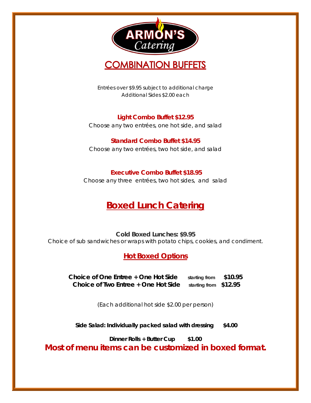



Entrées over \$9.95 subject to additional charge Additional Sides \$2.00 each

**Light Combo Buffet \$12.95** Choose any two entrées, one hot side, and salad

#### **Standard Combo Buffet \$14.95**

Choose any two entrées, two hot side, and salad

#### **Executive Combo Buffet \$18.95**

Choose any three entrées, two hot sides, and salad

## **Boxed Lunch Catering**

**Cold Boxed Lunches: \$9.95** Choice of sub sandwiches or wraps with potato chips, cookies, and condiment.

**Hot Boxed Options**

**Choice of One Entree + One Hot Side starting from \$10.95 Choice of Two Entree + One Hot Side starting from \$12.95**

*(Each additional hot side \$2.00 per person)*

**Side Salad: Individually packed salad with dressing \$4.00**

**Dinner Rolls + Butter Cup \$1.00**

**Most of menu items can be customized in boxed format.**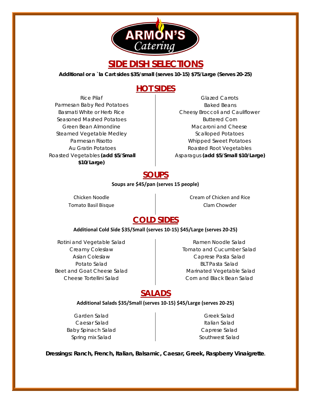

## **SIDE DISH SELECTIONS**

**Additional or a `la Cart sides \$35/small (serves 10-15) \$75/Large (Serves 20-25)**

### **HOT SIDES**

Rice Pilaf Parmesan Baby Red Potatoes Basmati White or Herb Rice Seasoned Mashed Potatoes Green Bean Almondine Steamed Vegetable Medley Parmesan Risotto Au Gratin Potatoes Roasted Vegetables **(add \$5/Small \$10/Large)**

#### Glazed Carrots Baked Beans Cheesy Broccoli and Cauliflower Buttered Corn Macaroni and Cheese Scalloped Potatoes Whipped Sweet Potatoes Roasted Root Vegetables Asparagus **(add \$5/Small \$10/Large)**

### **SOUPS**

#### **Soups are \$45/pan (serves 15 people)**

Chicken Noodle Tomato Basil Bisque Cream of Chicken and Rice Clam Chowder

## **COLD SIDES**

#### **Additional Cold Side \$35/Small (serves 10-15) \$45/Large (serves 20-25)**

Rotini and Vegetable Salad Creamy Coleslaw Asian Coleslaw Potato Salad Beet and Goat Cheese Salad Cheese Tortellini Salad

Ramen Noodle Salad Tomato and Cucumber Salad Caprese Pasta Salad BLT Pasta Salad Marinated Vegetable Salad Corn and Black Bean Salad

## **SALADS**

#### **Additional Salads \$35/Small (serves 10-15) \$45/Large (serves 20-25)**

Garden Salad Caesar Salad Baby Spinach Salad Spring mix Salad

Greek Salad Italian Salad Caprese Salad Southwest Salad

**Dressings: Ranch, French, Italian, Balsamic, Caesar, Greek, Raspberry Vinaigrette.**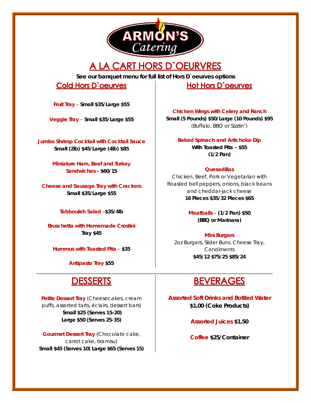

## A LA CART HORS D'OEURVRES

**See our banquet menu for full list of Hors D`oeurves options**

\_\_\_\_\_\_\_\_\_\_\_\_\_\_\_\_\_\_\_\_\_\_\_\_\_\_\_\_\_\_\_\_\_\_\_\_\_\_\_\_\_\_\_\_\_\_\_\_\_\_\_\_\_\_\_\_\_\_\_\_\_\_\_\_\_\_\_\_\_\_\_\_\_\_\_\_\_\_\_\_\_\_\_\_\_\_\_\_\_\_\_\_\_

### **Cold Hors D'oeurves**

**Fruit Tray** – **Small \$35/Large \$55**

**Veggie Tray** – **Small \$35/Large \$55**

**Jumbo Shrimp Cocktail with Cocktail Sauce Small (2lb) \$45/Large (4lb) \$85**

> **Miniature Ham, Beef and Turkey Sandwiches - \$60/15**

**Cheese and Sausage Tray with Crackers Small \$35/Large \$55**

**Tabbouleh Salad** –**\$35/4lb**

**Bruschetta with Homemade Crostini Tray \$45**

**Hummus with Toasted Pita** – **\$35**

**Antipasto Tray \$55**

## **DESSERTS**

**Petite Dessert Tray** (Cheesecakes, cream puffs, assorted tarts, éclairs, dessert bars) **Small \$25 (Serves 15-20) Large \$50 (Serves 25-35)**

**Gourmet Dessert Tray** (Chocolate cake, carrot cake, tiramisu) **Small \$45 (Serves 10) Large \$65 (Serves 15)** **Hot Hors D'oeurves** 

**Chicken Wings with Celery and Ranch Small (5 Pounds) \$50/Large (10 Pounds) \$95** (Buffalo, BBQ or Sizzlin')

> **Baked Spinach and Artichoke Dip With Toasted Pita – \$55 (1/2 Pan)**

#### **Quesadillas**

Chicken, Beef, Pork or Vegetarian with Roasted bell peppers, onions, black beans and cheddar-jack cheese **16 Pieces \$35/32 Pieces \$65**

> **Meatballs** – **(1/2 Pan) \$50 (BBQ or Marinara)**

**Mini Burgers** 2oz Burgers, Slider Buns, Cheese Tray, **Condiments \$45/12 \$75/25 \$85/24**

## **BEVERAGES**

**Assorted Soft Drinks and Bottled Water \$1.00 (Coke Products)**

**Assorted Juices \$1.50**

**Coffee \$25/Container**